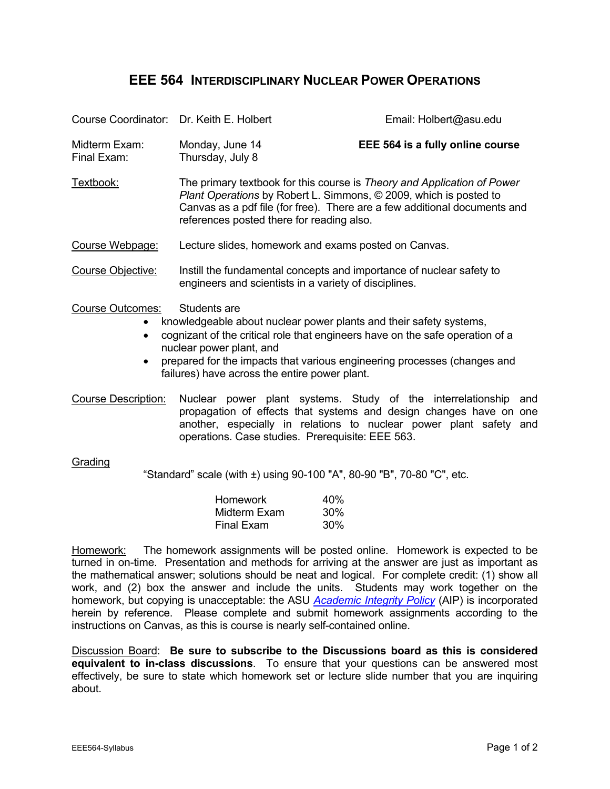## **EEE 564 INTERDISCIPLINARY NUCLEAR POWER OPERATIONS**

| Course Coordinator: Dr. Keith E. Holbert                                                                                                                                                                                                                                                                                                                                                       |                                                                                                                                                                                                                                                                        | Email: Holbert@asu.edu                                                                                                                                                                                            |  |  |
|------------------------------------------------------------------------------------------------------------------------------------------------------------------------------------------------------------------------------------------------------------------------------------------------------------------------------------------------------------------------------------------------|------------------------------------------------------------------------------------------------------------------------------------------------------------------------------------------------------------------------------------------------------------------------|-------------------------------------------------------------------------------------------------------------------------------------------------------------------------------------------------------------------|--|--|
| Midterm Exam:<br>Final Exam:                                                                                                                                                                                                                                                                                                                                                                   | Monday, June 14<br>Thursday, July 8                                                                                                                                                                                                                                    | EEE 564 is a fully online course                                                                                                                                                                                  |  |  |
| Textbook:                                                                                                                                                                                                                                                                                                                                                                                      | The primary textbook for this course is Theory and Application of Power<br>Plant Operations by Robert L. Simmons, © 2009, which is posted to<br>Canvas as a pdf file (for free). There are a few additional documents and<br>references posted there for reading also. |                                                                                                                                                                                                                   |  |  |
| Course Webpage:                                                                                                                                                                                                                                                                                                                                                                                | Lecture slides, homework and exams posted on Canvas.                                                                                                                                                                                                                   |                                                                                                                                                                                                                   |  |  |
| Course Objective:                                                                                                                                                                                                                                                                                                                                                                              | Instill the fundamental concepts and importance of nuclear safety to<br>engineers and scientists in a variety of disciplines.                                                                                                                                          |                                                                                                                                                                                                                   |  |  |
| Students are<br><b>Course Outcomes:</b><br>knowledgeable about nuclear power plants and their safety systems,<br>$\bullet$<br>cognizant of the critical role that engineers have on the safe operation of a<br>$\bullet$<br>nuclear power plant, and<br>prepared for the impacts that various engineering processes (changes and<br>$\bullet$<br>failures) have across the entire power plant. |                                                                                                                                                                                                                                                                        |                                                                                                                                                                                                                   |  |  |
| <b>Course Description:</b>                                                                                                                                                                                                                                                                                                                                                                     | operations. Case studies. Prerequisite: EEE 563.                                                                                                                                                                                                                       | Nuclear power plant systems. Study of the interrelationship<br>and<br>propagation of effects that systems and design changes have on one<br>another, especially in relations to nuclear power plant safety<br>and |  |  |
| Grading<br>"Standard" scale (with ±) using 90-100 "A", 80-90 "B", 70-80 "C", etc.                                                                                                                                                                                                                                                                                                              |                                                                                                                                                                                                                                                                        |                                                                                                                                                                                                                   |  |  |
|                                                                                                                                                                                                                                                                                                                                                                                                | <b>Homework</b><br>Midterm Exam<br>Final Exam                                                                                                                                                                                                                          | 40%<br>30%<br>30%                                                                                                                                                                                                 |  |  |
| The homework assignments will be posted online. Homework is expected to be<br>Homework:<br>turned in on-time. Presentation and methods for arriving at the answer are just as important as                                                                                                                                                                                                     |                                                                                                                                                                                                                                                                        |                                                                                                                                                                                                                   |  |  |

turned in on-time. Presentation and methods for arriving at the answer are just as important as the mathematical answer; solutions should be neat and logical. For complete credit: (1) show all work, and (2) box the answer and include the units. Students may work together on the homework, but copying is unacceptable: the ASU *Academic Integrity Policy* (AIP) is incorporated herein by reference. Please complete and submit homework assignments according to the instructions on Canvas, as this is course is nearly self-contained online.

Discussion Board: **Be sure to subscribe to the Discussions board as this is considered equivalent to in-class discussions**. To ensure that your questions can be answered most effectively, be sure to state which homework set or lecture slide number that you are inquiring about.